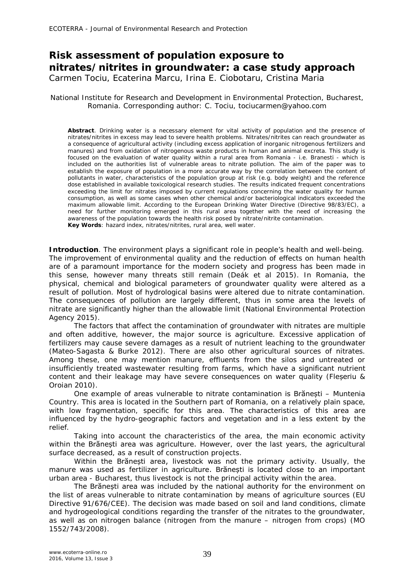## **Risk assessment of population exposure to nitrates/nitrites in groundwater: a case study approach** Carmen Tociu, Ecaterina Marcu, Irina E. Ciobotaru, Cristina Maria

## National Institute for Research and Development in Environmental Protection, Bucharest, Romania. Corresponding author: C. Tociu, tociucarmen@yahoo.com

**Abstract**. Drinking water is a necessary element for vital activity of population and the presence of nitrates/nitrites in excess may lead to severe health problems. Nitrates/nitrites can reach groundwater as a consequence of agricultural activity (including excess application of inorganic nitrogenous fertilizers and manures) and from oxidation of nitrogenous waste products in human and animal excreta. This study is focused on the evaluation of water quality within a rural area from Romania - i.e. Branesti - which is included on the authorities list of vulnerable areas to nitrate pollution. The aim of the paper was to establish the exposure of population in a more accurate way by the correlation between the content of pollutants in water, characteristics of the population group at risk (e.g. body weight) and the reference dose established in available toxicological research studies. The results indicated frequent concentrations exceeding the limit for nitrates imposed by current regulations concerning the water quality for human consumption, as well as some cases when other chemical and/or bacteriological indicators exceeded the maximum allowable limit. According to the European Drinking Water Directive (Directive 98/83/EC), a need for further monitoring emerged in this rural area together with the need of increasing the awareness of the population towards the health risk posed by nitrate/nitrite contamination. **Key Words**: hazard index, nitrates/nitrites, rural area, well water.

**Introduction**. The environment plays a significant role in people's health and well-being. The improvement of environmental quality and the reduction of effects on human health are of a paramount importance for the modern society and progress has been made in this sense, however many threats still remain (Deák et al 2015). In Romania, the physical, chemical and biological parameters of groundwater quality were altered as a result of pollution. Most of hydrological basins were altered due to nitrate contamination. The consequences of pollution are largely different, thus in some area the levels of nitrate are significantly higher than the allowable limit (National Environmental Protection Agency 2015).

The factors that affect the contamination of groundwater with nitrates are multiple and often additive, however, the major source is agriculture. Excessive application of fertilizers may cause severe damages as a result of nutrient leaching to the groundwater (Mateo-Sagasta & Burke 2012). There are also other agricultural sources of nitrates. Among these, one may mention manure, effluents from the silos and untreated or insufficiently treated wastewater resulting from farms, which have a significant nutrient content and their leakage may have severe consequences on water quality (Fleșeriu & Oroian 2010).

One example of areas vulnerable to nitrate contamination is Brănești – Muntenia Country. This area is located in the Southern part of Romania, on a relatively plain space, with low fragmentation, specific for this area. The characteristics of this area are influenced by the hydro-geographic factors and vegetation and in a less extent by the relief.

Taking into account the characteristics of the area, the main economic activity within the Brănești area was agriculture. However, over the last years, the agricultural surface decreased, as a result of construction projects.

Within the Brănești area, livestock was not the primary activity. Usually, the manure was used as fertilizer in agriculture. Brănești is located close to an important urban area - Bucharest, thus livestock is not the principal activity within the area.

The Brănești area was included by the national authority for the environment on the list of areas vulnerable to nitrate contamination by means of agriculture sources (EU Directive 91/676/CEE). The decision was made based on soil and land conditions, climate and hydrogeological conditions regarding the transfer of the nitrates to the groundwater, as well as on nitrogen balance (nitrogen from the manure – nitrogen from crops) (MO 1552/743/2008).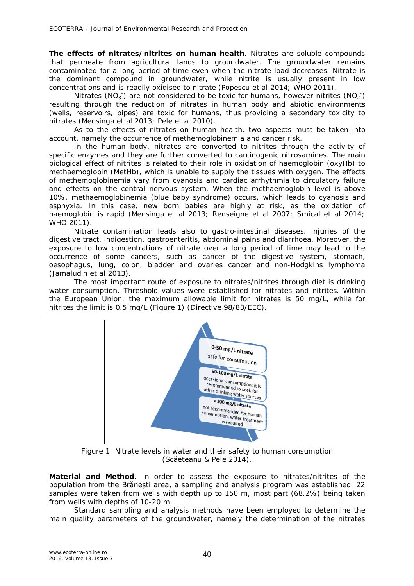*The effects of nitrates/nitrites on human health.* Nitrates are soluble compounds that permeate from agricultural lands to groundwater. The groundwater remains contaminated for a long period of time even when the nitrate load decreases. Nitrate is the dominant compound in groundwater, while nitrite is usually present in low concentrations and is readily oxidised to nitrate (Popescu et al 2014; WHO 2011).

Nitrates (NO<sub>3</sub><sup>-</sup>) are not considered to be toxic for humans, however nitrites (NO<sub>2</sub><sup>-</sup>) resulting through the reduction of nitrates in human body and abiotic environments (wells, reservoirs, pipes) are toxic for humans, thus providing a secondary toxicity to nitrates (Mensinga et al 2013; Pele et al 2010).

As to the effects of nitrates on human health, two aspects must be taken into account, namely the occurrence of methemoglobinemia and cancer risk.

In the human body, nitrates are converted to nitrites through the activity of specific enzymes and they are further converted to carcinogenic nitrosamines. The main biological effect of nitrites is related to their role in oxidation of haemoglobin (oxyHb) to methaemoglobin (MetHb), which is unable to supply the tissues with oxygen. The effects of methemoglobinemia vary from cyanosis and cardiac arrhythmia to circulatory failure and effects on the central nervous system. When the methaemoglobin level is above 10%, methaemoglobinemia (blue baby syndrome) occurs, which leads to cyanosis and asphyxia. In this case, new born babies are highly at risk, as the oxidation of haemoglobin is rapid (Mensinga et al 2013; Renseigne et al 2007; Smical et al 2014; WHO 2011).

Nitrate contamination leads also to gastro-intestinal diseases, injuries of the digestive tract, indigestion, gastroenteritis, abdominal pains and diarrhoea. Moreover, the exposure to low concentrations of nitrate over a long period of time may lead to the occurrence of some cancers, such as cancer of the digestive system, stomach, oesophagus, lung, colon, bladder and ovaries cancer and non-Hodgkins lymphoma (Jamaludin et al 2013).

The most important route of exposure to nitrates/nitrites through diet is drinking water consumption. Threshold values were established for nitrates and nitrites. Within the European Union, the maximum allowable limit for nitrates is 50 mg/L, while for nitrites the limit is 0.5 mg/L (Figure 1) (Directive 98/83/EEC).



Figure 1. Nitrate levels in water and their safety to human consumption (Scăeteanu & Pele 2014).

**Material and Method**. In order to assess the exposure to nitrates/nitrites of the population from the Brănești area, a sampling and analysis program was established. 22 samples were taken from wells with depth up to 150 m, most part (68.2%) being taken from wells with depths of 10-20 m.

Standard sampling and analysis methods have been employed to determine the main quality parameters of the groundwater, namely the determination of the nitrates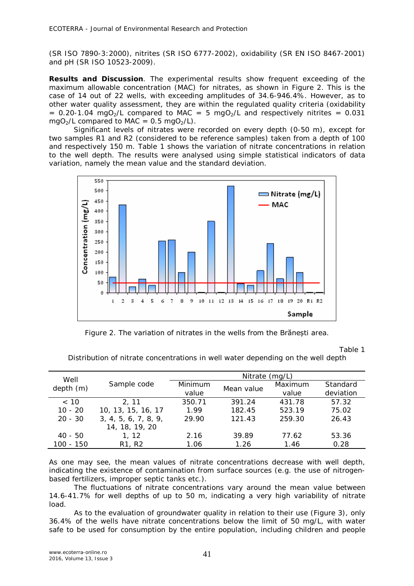(SR ISO 7890-3:2000), nitrites (SR ISO 6777-2002), oxidability (SR EN ISO 8467-2001) and pH (SR ISO 10523-2009).

**Results and Discussion**. The experimental results show frequent exceeding of the maximum allowable concentration (MAC) for nitrates, as shown in Figure 2. This is the case of 14 out of 22 wells, with exceeding amplitudes of 34.6-946.4%. However, as to other water quality assessment, they are within the regulated quality criteria (oxidability =  $0.20$ -1.04 mgO<sub>2</sub>/L compared to MAC = 5 mgO<sub>2</sub>/L and respectively nitrites =  $0.031$ mgO<sub>2</sub>/L compared to MAC =  $0.5 \text{ mgO}_2$ /L).

Significant levels of nitrates were recorded on every depth (0-50 m), except for two samples R1 and R2 (considered to be reference samples) taken from a depth of 100 and respectively 150 m. Table 1 shows the variation of nitrate concentrations in relation to the well depth. The results were analysed using simple statistical indicators of data variation, namely the mean value and the standard deviation.



Figure 2. The variation of nitrates in the wells from the Brănești area.

Table 1

Distribution of nitrate concentrations in well water depending on the well depth

| Well      |                                 | Nitrate $(mq/L)$ |            |         |           |
|-----------|---------------------------------|------------------|------------|---------|-----------|
| depth(m)  | Sample code                     | Minimum          | Mean value | Maximum | Standard  |
|           |                                 | value            |            | value   | deviation |
| ~< 10     | 2.11                            | 350.71           | 391.24     | 431.78  | 57.32     |
| $10 - 20$ | 10, 13, 15, 16, 17              | 1.99             | 182.45     | 523.19  | 75.02     |
| $20 - 30$ | 3, 4, 5, 6, 7, 8, 9,            | 29.90            | 121.43     | 259.30  | 26.43     |
|           | 14, 18, 19, 20                  |                  |            |         |           |
| $40 - 50$ | 1, 12                           | 2.16             | 39.89      | 77.62   | 53.36     |
| 100 - 150 | R <sub>1</sub> , R <sub>2</sub> | 1.06             | 1.26       | 1.46    | 0.28      |

As one may see, the mean values of nitrate concentrations decrease with well depth, indicating the existence of contamination from surface sources (e.g. the use of nitrogenbased fertilizers, improper septic tanks etc.).

The fluctuations of nitrate concentrations vary around the mean value between 14.6-41.7% for well depths of up to 50 m, indicating a very high variability of nitrate load.

As to the evaluation of groundwater quality in relation to their use (Figure 3), only 36.4% of the wells have nitrate concentrations below the limit of 50 mg/L, with water safe to be used for consumption by the entire population, including children and people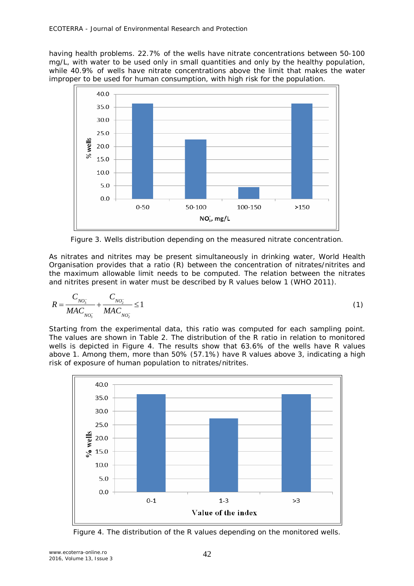having health problems. 22.7% of the wells have nitrate concentrations between 50-100 mg/L, with water to be used only in small quantities and only by the healthy population, while 40.9% of wells have nitrate concentrations above the limit that makes the water improper to be used for human consumption, with high risk for the population.



Figure 3. Wells distribution depending on the measured nitrate concentration.

As nitrates and nitrites may be present simultaneously in drinking water, World Health Organisation provides that a ratio (R) between the concentration of nitrates/nitrites and the maximum allowable limit needs to be computed. The relation between the nitrates and nitrites present in water must be described by R values below 1 (WHO 2011).

$$
R = \frac{C_{NO_3^-}}{MAC_{NO_3^-}} + \frac{C_{NO_2^-}}{MAC_{NO_2^-}} \le 1
$$
\n(1)

Starting from the experimental data, this ratio was computed for each sampling point. The values are shown in Table 2. The distribution of the R ratio in relation to monitored wells is depicted in Figure 4. The results show that 63.6% of the wells have R values above 1. Among them, more than 50% (57.1%) have R values above 3, indicating a high risk of exposure of human population to nitrates/nitrites.



Figure 4. The distribution of the R values depending on the monitored wells.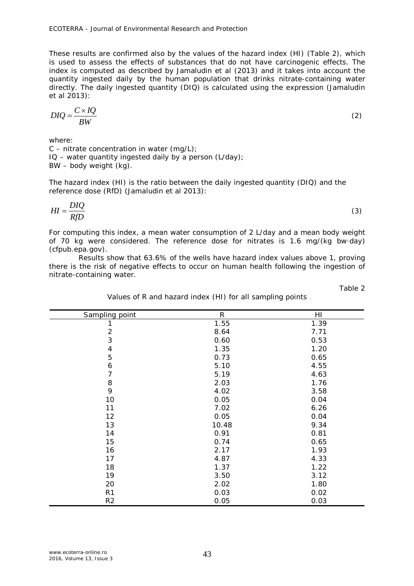These results are confirmed also by the values of the hazard index (HI) (Table 2), which is used to assess the effects of substances that do not have carcinogenic effects. The index is computed as described by Jamaludin et al (2013) and it takes into account the quantity ingested daily by the human population that drinks nitrate-containing water directly. The daily ingested quantity (DIQ) is calculated using the expression (Jamaludin et al 2013):

$$
DIQ = \frac{C \times IQ}{BW}
$$
 (2)

where:

 $C$  – nitrate concentration in water (mg/L);  $IO$  – water quantity ingested daily by a person (L/day); BW – body weight (kg).

The hazard index (HI) is the ratio between the daily ingested quantity (DIQ) and the reference dose (RfD) (Jamaludin et al 2013):

$$
HI = \frac{DIQ}{RfD} \tag{3}
$$

For computing this index, a mean water consumption of 2 L/day and a mean body weight of 70 kg were considered. The reference dose for nitrates is 1.6 mg/(kg bw·day) (cfpub.epa.gov).

Results show that 63.6% of the wells have hazard index values above 1, proving there is the risk of negative effects to occur on human health following the ingestion of nitrate-containing water.

Table 2

| Sampling point           | $\,R$ | HI   |  |
|--------------------------|-------|------|--|
| 1                        | 1.55  | 1.39 |  |
|                          | 8.64  | 7.71 |  |
| $\frac{2}{3}$            | 0.60  | 0.53 |  |
| $\overline{\mathcal{L}}$ | 1.35  | 1.20 |  |
| 5                        | 0.73  | 0.65 |  |
| 6                        | 5.10  | 4.55 |  |
| $\overline{7}$           | 5.19  | 4.63 |  |
| 8                        | 2.03  | 1.76 |  |
| 9                        | 4.02  | 3.58 |  |
| 10                       | 0.05  | 0.04 |  |
| 11                       | 7.02  | 6.26 |  |
| 12                       | 0.05  | 0.04 |  |
| 13                       | 10.48 | 9.34 |  |
| 14                       | 0.91  | 0.81 |  |
| 15                       | 0.74  | 0.65 |  |
| 16                       | 2.17  | 1.93 |  |
| 17                       | 4.87  | 4.33 |  |
| 18                       | 1.37  | 1.22 |  |
| 19                       | 3.50  | 3.12 |  |
| 20                       | 2.02  | 1.80 |  |
| R <sub>1</sub>           | 0.03  | 0.02 |  |
| R2                       | 0.05  | 0.03 |  |

Values of R and hazard index (HI) for all sampling points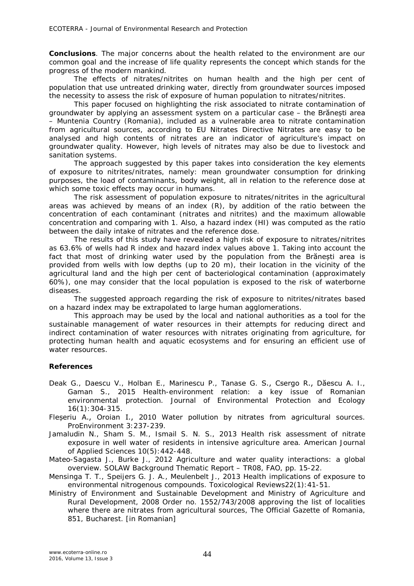**Conclusions**. The major concerns about the health related to the environment are our common goal and the increase of life quality represents the concept which stands for the progress of the modern mankind.

The effects of nitrates/nitrites on human health and the high per cent of population that use untreated drinking water, directly from groundwater sources imposed the necessity to assess the risk of exposure of human population to nitrates/nitrites.

This paper focused on highlighting the risk associated to nitrate contamination of groundwater by applying an assessment system on a particular case – the Brănești area – Muntenia Country (Romania), included as a vulnerable area to nitrate contamination from agricultural sources, according to EU Nitrates Directive Nitrates are easy to be analysed and high contents of nitrates are an indicator of agriculture's impact on groundwater quality. However, high levels of nitrates may also be due to livestock and sanitation systems.

The approach suggested by this paper takes into consideration the key elements of exposure to nitrites/nitrates, namely: mean groundwater consumption for drinking purposes, the load of contaminants, body weight, all in relation to the reference dose at which some toxic effects may occur in humans.

The risk assessment of population exposure to nitrates/nitrites in the agricultural areas was achieved by means of an index (R), by addition of the ratio between the concentration of each contaminant (nitrates and nitrites) and the maximum allowable concentration and comparing with 1. Also, a hazard index (HI) was computed as the ratio between the daily intake of nitrates and the reference dose.

The results of this study have revealed a high risk of exposure to nitrates/nitrites as 63.6% of wells had R index and hazard index values above 1. Taking into account the fact that most of drinking water used by the population from the Brănești area is provided from wells with low depths (up to 20 m), their location in the vicinity of the agricultural land and the high per cent of bacteriological contamination (approximately 60%), one may consider that the local population is exposed to the risk of waterborne diseases.

The suggested approach regarding the risk of exposure to nitrites/nitrates based on a hazard index may be extrapolated to large human agglomerations.

This approach may be used by the local and national authorities as a tool for the sustainable management of water resources in their attempts for reducing direct and indirect contamination of water resources with nitrates originating from agriculture, for protecting human health and aquatic ecosystems and for ensuring an efficient use of water resources.

## **References**

- Deak G., Daescu V., Holban E., Marinescu P., Tanase G. S., Csergo R., Dăescu A. I., Gaman S., 2015 Health-environment relation: a key issue of Romanian environmental protection. Journal of Environmental Protection and Ecology 16(1):304-315.
- Fleșeriu A., Oroian I., 2010 Water pollution by nitrates from agricultural sources. ProEnvironment 3:237-239.
- Jamaludin N., Sham S. M., Ismail S. N. S., 2013 Health risk assessment of nitrate exposure in well water of residents in intensive agriculture area. American Journal of Applied Sciences 10(5):442-448.
- Mateo-Sagasta J., Burke J., 2012 Agriculture and water quality interactions: a global overview. SOLAW Background Thematic Report – TR08, FAO, pp. 15-22.
- Mensinga T. T., Speijers G. J. A., Meulenbelt J., 2013 Health implications of exposure to environmental nitrogenous compounds. Toxicological Reviews22(1):41-51.
- Ministry of Environment and Sustainable Development and Ministry of Agriculture and Rural Development, 2008 Order no. 1552/743/2008 approving the list of localities where there are nitrates from agricultural sources, The Official Gazette of Romania, 851, Bucharest. [in Romanian]